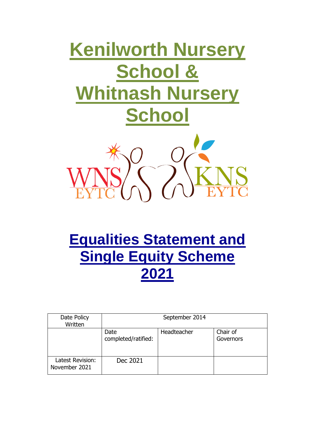# **Kenilworth Nursery School & Whitnash Nursery School**



# **Equalities Statement and Single Equity Scheme 2021**

| Date Policy<br>Written            | September 2014              |             |                       |
|-----------------------------------|-----------------------------|-------------|-----------------------|
|                                   | Date<br>completed/ratified: | Headteacher | Chair of<br>Governors |
| Latest Revision:<br>November 2021 | Dec 2021                    |             |                       |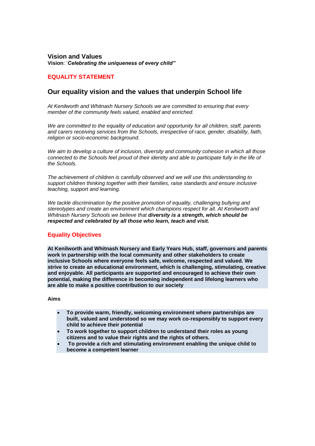**Vision and Values Vision**: '*Celebrating the uniqueness of every child"*

# **EQUALITY STATEMENT**

# **Our equality vision and the values that underpin School life**

*At Kenilworth and Whitnash Nursery Schools we are committed to ensuring that every member of the community feels valued, enabled and enriched.* 

*We are committed to the equality of education and opportunity for all children, staff, parents and carers receiving services from the Schools, irrespective of race, gender, disability, faith, religion or socio-economic background.* 

*We aim to develop a culture of inclusion, diversity and community cohesion in which all those connected to the Schools feel proud of their identity and able to participate fully in the life of the Schools.* 

*The achievement of children is carefully observed and we will use this understanding to support children thinking together with their families, raise standards and ensure inclusive teaching, support and learning.* 

*We tackle discrimination by the positive promotion of equality, challenging bullying and stereotypes and create an environment which champions respect for all. At Kenilworth and Whitnash Nursery Schools we believe that diversity is a strength, which should be respected and celebrated by all those who learn, teach and visit.* 

# **Equality Objectives**

**At Kenilworth and Whitnash Nursery and Early Years Hub, staff, governors and parents work in partnership with the local community and other stakeholders to create inclusive Schools where everyone feels safe, welcome, respected and valued. We strive to create an educational environment, which is challenging, stimulating, creative and enjoyable. All participants are supported and encouraged to achieve their own potential, making the difference in becoming independent and lifelong learners who are able to make a positive contribution to our society** 

#### **Aims**

- **To provide warm, friendly, welcoming environment where partnerships are built, valued and understood so we may work co-responsibly to support every child to achieve their potential**
- **To work together to support children to understand their roles as young citizens and to value their rights and the rights of others.**
- **To provide a rich and stimulating environment enabling the unique child to become a competent learner**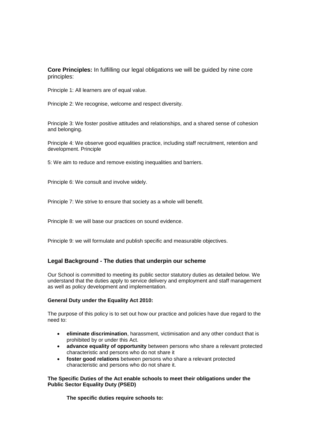**Core Principles:** In fulfilling our legal obligations we will be guided by nine core principles:

Principle 1: All learners are of equal value.

Principle 2: We recognise, welcome and respect diversity.

Principle 3: We foster positive attitudes and relationships, and a shared sense of cohesion and belonging.

Principle 4: We observe good equalities practice, including staff recruitment, retention and development. Principle

5: We aim to reduce and remove existing inequalities and barriers.

Principle 6: We consult and involve widely.

Principle 7: We strive to ensure that society as a whole will benefit.

Principle 8: we will base our practices on sound evidence.

Principle 9: we will formulate and publish specific and measurable objectives.

# **Legal Background - The duties that underpin our scheme**

Our School is committed to meeting its public sector statutory duties as detailed below. We understand that the duties apply to service delivery and employment and staff management as well as policy development and implementation.

#### **General Duty under the Equality Act 2010:**

The purpose of this policy is to set out how our practice and policies have due regard to the need to:

- **eliminate discrimination**, harassment, victimisation and any other conduct that is prohibited by or under this Act.
- **advance equality of opportunity** between persons who share a relevant protected characteristic and persons who do not share it
- **foster good relations** between persons who share a relevant protected characteristic and persons who do not share it.

#### **The Specific Duties of the Act enable schools to meet their obligations under the Public Sector Equality Duty (PSED)**

**The specific duties require schools to:**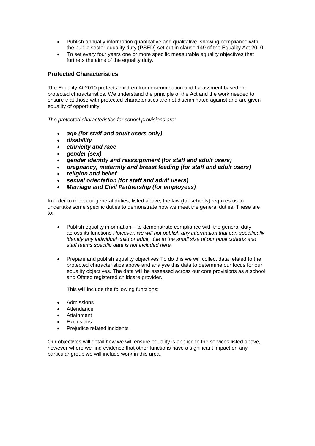- Publish annually information quantitative and qualitative, showing compliance with the public sector equality duty (PSED) set out in clause 149 of the Equality Act 2010.
- To set every four years one or more specific measurable equality objectives that furthers the aims of the equality duty.

# **Protected Characteristics**

The Equality At 2010 protects children from discrimination and harassment based on protected characteristics. We understand the principle of the Act and the work needed to ensure that those with protected characteristics are not discriminated against and are given equality of opportunity.

*The protected characteristics for school provisions are:* 

- *age (for staff and adult users only)*
- *disability*
- *ethnicity and race*
- *gender (sex)*
- *gender identity and reassignment (for staff and adult users)*
- *pregnancy, maternity and breast feeding (for staff and adult users)*
- *religion and belief*
- *sexual orientation (for staff and adult users)*
- *Marriage and Civil Partnership (for employees)*

In order to meet our general duties, listed above, the law (for schools) requires us to undertake some specific duties to demonstrate how we meet the general duties. These are to:

- Publish equality information to demonstrate compliance with the general duty across its functions *However, we will not publish any information that can specifically identify any individual child or adult, due to the small size of our pupil cohorts and staff teams specific data is not included here.*
- Prepare and publish equality objectives To do this we will collect data related to the protected characteristics above and analyse this data to determine our focus for our equality objectives. The data will be assessed across our core provisions as a school and Ofsted registered childcare provider.

This will include the following functions:

- Admissions
- Attendance
- Attainment
- Exclusions
- Prejudice related incidents

Our objectives will detail how we will ensure equality is applied to the services listed above, however where we find evidence that other functions have a significant impact on any particular group we will include work in this area.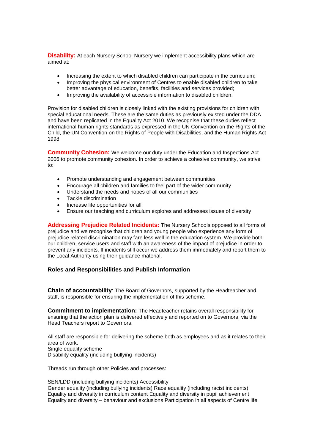**Disability:** At each Nursery School Nursery we implement accessibility plans which are aimed at:

- Increasing the extent to which disabled children can participate in the curriculum;
- Improving the physical environment of Centres to enable disabled children to take better advantage of education, benefits, facilities and services provided;
- Improving the availability of accessible information to disabled children.

Provision for disabled children is closely linked with the existing provisions for children with special educational needs. These are the same duties as previously existed under the DDA and have been replicated in the Equality Act 2010. We recognise that these duties reflect international human rights standards as expressed in the UN Convention on the Rights of the Child, the UN Convention on the Rights of People with Disabilities, and the Human Rights Act 1998

**Community Cohesion:** We welcome our duty under the Education and Inspections Act 2006 to promote community cohesion. In order to achieve a cohesive community, we strive to:

- Promote understanding and engagement between communities
- Encourage all children and families to feel part of the wider community
- Understand the needs and hopes of all our communities
- Tackle discrimination
- Increase life opportunities for all
- Ensure our teaching and curriculum explores and addresses issues of diversity

**Addressing Prejudice Related Incidents:** The Nursery Schools opposed to all forms of prejudice and we recognise that children and young people who experience any form of prejudice related discrimination may fare less well in the education system. We provide both our children, service users and staff with an awareness of the impact of prejudice in order to prevent any incidents. If incidents still occur we address them immediately and report them to the Local Authority using their guidance material.

# **Roles and Responsibilities and Publish Information**

**Chain of accountability**: The Board of Governors, supported by the Headteacher and staff, is responsible for ensuring the implementation of this scheme.

**Commitment to implementation:** The Headteacher retains overall responsibility for ensuring that the action plan is delivered effectively and reported on to Governors, via the Head Teachers report to Governors.

All staff are responsible for delivering the scheme both as employees and as it relates to their area of work. Single equality scheme Disability equality (including bullying incidents)

Threads run through other Policies and processes:

SEN/LDD (including bullying incidents) Accessibility Gender equality (including bullying incidents) Race equality (including racist incidents) Equality and diversity in curriculum content Equality and diversity in pupil achievement Equality and diversity – behaviour and exclusions Participation in all aspects of Centre life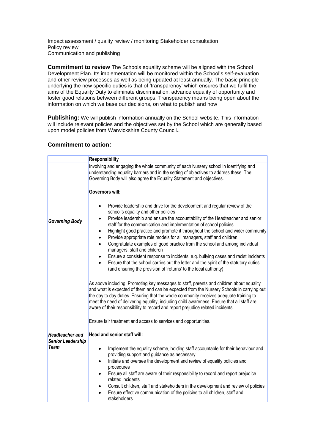Impact assessment / quality review / monitoring Stakeholder consultation Policy review Communication and publishing

**Commitment to review** The Schools equality scheme will be aligned with the School Development Plan. Its implementation will be monitored within the School's self-evaluation and other review processes as well as being updated at least annually. The basic principle underlying the new specific duties is that of 'transparency' which ensures that we fulfil the aims of the Equality Duty to eliminate discrimination, advance equality of opportunity and foster good relations between different groups. Transparency means being open about the information on which we base our decisions, on what to publish and how

**Publishing:** We will publish information annually on the School website. This information will include relevant policies and the objectives set by the School which are generally based upon model policies from Warwickshire County Council..

# **Commitment to action:**

| Responsibility                                             |                                                                                                                                                                                                                                                                                                                                                                                                                                                                                                                                                                                                                                                                                                                                                                                                                                                                                                    |  |
|------------------------------------------------------------|----------------------------------------------------------------------------------------------------------------------------------------------------------------------------------------------------------------------------------------------------------------------------------------------------------------------------------------------------------------------------------------------------------------------------------------------------------------------------------------------------------------------------------------------------------------------------------------------------------------------------------------------------------------------------------------------------------------------------------------------------------------------------------------------------------------------------------------------------------------------------------------------------|--|
| <b>Governing Body</b>                                      | Involving and engaging the whole community of each Nursery school in identifying and<br>understanding equality barriers and in the setting of objectives to address these. The<br>Governing Body will also agree the Equality Statement and objectives.<br><b>Governors will:</b>                                                                                                                                                                                                                                                                                                                                                                                                                                                                                                                                                                                                                  |  |
|                                                            | Provide leadership and drive for the development and regular review of the<br>$\bullet$<br>school's equality and other policies<br>Provide leadership and ensure the accountability of the Headteacher and senior<br>$\bullet$<br>staff for the communication and implementation of school policies<br>Highlight good practice and promote it throughout the school and wider community<br>$\bullet$<br>Provide appropriate role models for all managers, staff and children<br>$\bullet$<br>Congratulate examples of good practice from the school and among individual<br>$\bullet$<br>managers, staff and children<br>Ensure a consistent response to incidents, e.g. bullying cases and racist incidents<br>$\bullet$<br>Ensure that the school carries out the letter and the spirit of the statutory duties<br>$\bullet$<br>(and ensuring the provision of 'returns' to the local authority) |  |
|                                                            | As above including: Promoting key messages to staff, parents and children about equality<br>and what is expected of them and can be expected from the Nursery Schools in carrying out<br>the day to day duties. Ensuring that the whole community receives adequate training to<br>meet the need of delivering equality, including child awareness. Ensure that all staff are<br>aware of their responsibility to record and report prejudice related incidents.<br>Ensure fair treatment and access to services and opportunities.                                                                                                                                                                                                                                                                                                                                                                |  |
| <b>Headteacher and</b><br>Senior Leadership<br><b>Team</b> | <b>Head and senior staff will:</b><br>Implement the equality scheme, holding staff accountable for their behaviour and<br>$\bullet$<br>providing support and guidance as necessary<br>Initiate and oversee the development and review of equality policies and<br>$\bullet$<br>procedures<br>Ensure all staff are aware of their responsibility to record and report prejudice<br>$\bullet$<br>related incidents<br>Consult children, staff and stakeholders in the development and review of policies<br>$\bullet$<br>Ensure effective communication of the policies to all children, staff and<br>$\bullet$<br>stakeholders                                                                                                                                                                                                                                                                      |  |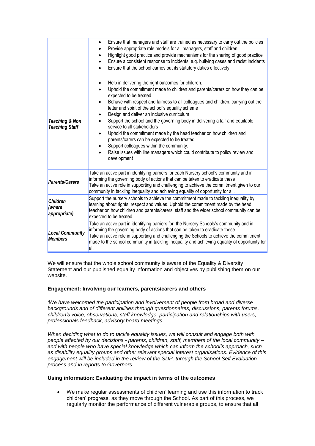|                                                    | Ensure that managers and staff are trained as necessary to carry out the policies<br>$\bullet$<br>Provide appropriate role models for all managers, staff and children<br>Highlight good practice and provide mechanisms for the sharing of good practice<br>Ensure a consistent response to incidents, e.g. bullying cases and racist incidents<br>Ensure that the school carries out its statutory duties effectively                                                                                                                                                                                                                                                                                                                                                                                |  |
|----------------------------------------------------|--------------------------------------------------------------------------------------------------------------------------------------------------------------------------------------------------------------------------------------------------------------------------------------------------------------------------------------------------------------------------------------------------------------------------------------------------------------------------------------------------------------------------------------------------------------------------------------------------------------------------------------------------------------------------------------------------------------------------------------------------------------------------------------------------------|--|
| <b>Teaching &amp; Non</b><br><b>Teaching Staff</b> | Help in delivering the right outcomes for children.<br>$\bullet$<br>Uphold the commitment made to children and parents/carers on how they can be<br>expected to be treated.<br>Behave with respect and fairness to all colleagues and children, carrying out the<br>letter and spirit of the school's equality scheme<br>Design and deliver an inclusive curriculum<br>$\bullet$<br>Support the school and the governing body in delivering a fair and equitable<br>$\bullet$<br>service to all stakeholders<br>Uphold the commitment made by the head teacher on how children and<br>$\bullet$<br>parents/carers can be expected to be treated<br>Support colleagues within the community.<br>$\bullet$<br>Raise issues with line managers which could contribute to policy review and<br>development |  |
| <b>Parents/Carers</b>                              | Take an active part in identifying barriers for each Nursery school's community and in<br>informing the governing body of actions that can be taken to eradicate these<br>Take an active role in supporting and challenging to achieve the commitment given to our<br>community in tackling inequality and achieving equality of opportunity for all.                                                                                                                                                                                                                                                                                                                                                                                                                                                  |  |
| <b>Children</b><br>(where<br>appropriate)          | Support the nursery schools to achieve the commitment made to tackling inequality by<br>learning about rights, respect and values. Uphold the commitment made by the head<br>teacher on how children and parents/carers, staff and the wider school community can be<br>expected to be treated.                                                                                                                                                                                                                                                                                                                                                                                                                                                                                                        |  |
| <b>Local Community</b><br><b>Members</b>           | Take an active part in identifying barriers for the Nursery Schools's community and in<br>informing the governing body of actions that can be taken to eradicate these<br>Take an active role in supporting and challenging the Schools to achieve the commitment<br>made to the school community in tackling inequality and achieving equality of opportunity for<br>all.                                                                                                                                                                                                                                                                                                                                                                                                                             |  |

We will ensure that the whole school community is aware of the Equality & Diversity Statement and our published equality information and objectives by publishing them on our website.

# **Engagement: Involving our learners, parents/carers and others**

*'We have welcomed the participation and involvement of people from broad and diverse backgrounds and of different abilities through questionnaires, discussions, parents forums, children's voice, observations, staff knowledge, participation and relationships with users, professionals feedback, advisory board meetings.* 

*When deciding what to do to tackle equality issues, we will consult and engage both with people affected by our decisions - parents, children, staff, members of the local community – and with people who have special knowledge which can inform the school's approach, such as disability equality groups and other relevant special interest organisations. Evidence of this engagement will be included in the review of the SDP, through the School Self Evaluation process and in reports to Governors* 

#### **Using information: Evaluating the impact in terms of the outcomes**

 We make regular assessments of children' learning and use this information to track children' progress, as they move through the School. As part of this process, we regularly monitor the performance of different vulnerable groups, to ensure that all